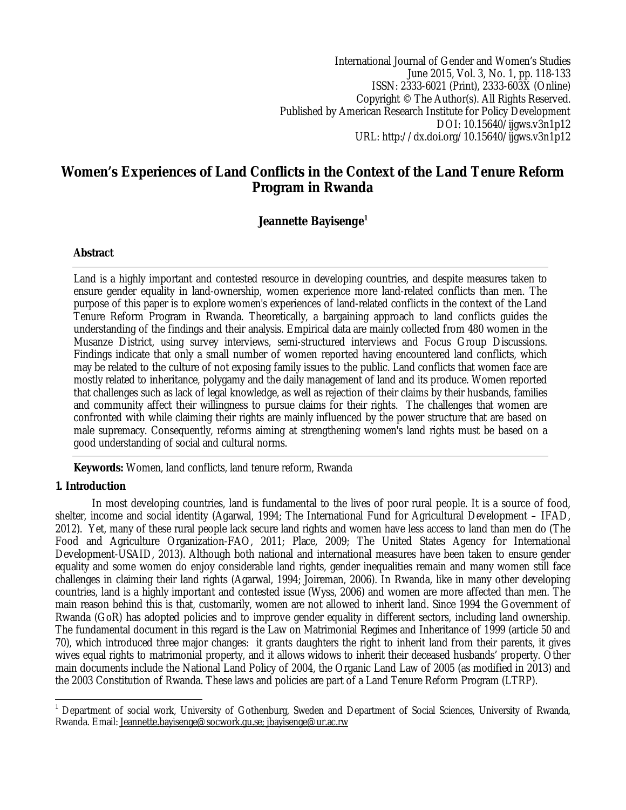International Journal of Gender and Women's Studies June 2015, Vol. 3, No. 1, pp. 118-133 ISSN: 2333-6021 (Print), 2333-603X (Online) Copyright © The Author(s). All Rights Reserved. Published by American Research Institute for Policy Development DOI: 10.15640/ijgws.v3n1p12 URL: http://dx.doi.org/10.15640/ijgws.v3n1p12

# **Women's Experiences of Land Conflicts in the Context of the Land Tenure Reform Program in Rwanda**

# **Jeannette Bayisenge<sup>1</sup>**

### **Abstract**

Land is a highly important and contested resource in developing countries, and despite measures taken to ensure gender equality in land-ownership, women experience more land-related conflicts than men. The purpose of this paper is to explore women's experiences of land-related conflicts in the context of the Land Tenure Reform Program in Rwanda. Theoretically, a bargaining approach to land conflicts guides the understanding of the findings and their analysis. Empirical data are mainly collected from 480 women in the Musanze District, using survey interviews, semi-structured interviews and Focus Group Discussions. Findings indicate that only a small number of women reported having encountered land conflicts, which may be related to the culture of not exposing family issues to the public. Land conflicts that women face are mostly related to inheritance, polygamy and the daily management of land and its produce. Women reported that challenges such as lack of legal knowledge, as well as rejection of their claims by their husbands, families and community affect their willingness to pursue claims for their rights. The challenges that women are confronted with while claiming their rights are mainly influenced by the power structure that are based on male supremacy. Consequently, reforms aiming at strengthening women's land rights must be based on a good understanding of social and cultural norms.

**Keywords:** Women, land conflicts, land tenure reform, Rwanda

# **1. Introduction**

In most developing countries, land is fundamental to the lives of poor rural people. It is a source of food, shelter, income and social identity (Agarwal, 1994; The International Fund for Agricultural Development – IFAD, 2012). Yet, many of these rural people lack secure land rights and women have less access to land than men do (The Food and Agriculture Organization-FAO, 2011; Place, 2009; The United States Agency for International Development-USAID, 2013). Although both national and international measures have been taken to ensure gender equality and some women do enjoy considerable land rights, gender inequalities remain and many women still face challenges in claiming their land rights (Agarwal, 1994; Joireman, 2006). In Rwanda, like in many other developing countries, land is a highly important and contested issue (Wyss, 2006) and women are more affected than men. The main reason behind this is that, customarily, women are not allowed to inherit land. Since 1994 the Government of Rwanda (GoR) has adopted policies and to improve gender equality in different sectors, including land ownership. The fundamental document in this regard is the Law on Matrimonial Regimes and Inheritance of 1999 (article 50 and 70), which introduced three major changes: it grants daughters the right to inherit land from their parents, it gives wives equal rights to matrimonial property, and it allows widows to inherit their deceased husbands' property. Other main documents include the National Land Policy of 2004, the Organic Land Law of 2005 (as modified in 2013) and the 2003 Constitution of Rwanda. These laws and policies are part of a Land Tenure Reform Program (LTRP).

 $\overline{a}$ <sup>1</sup> Department of social work, University of Gothenburg, Sweden and Department of Social Sciences, University of Rwanda, Rwanda. Email: Jeannette.bayisenge@socwork.gu.se; jbayisenge@ur.ac.rw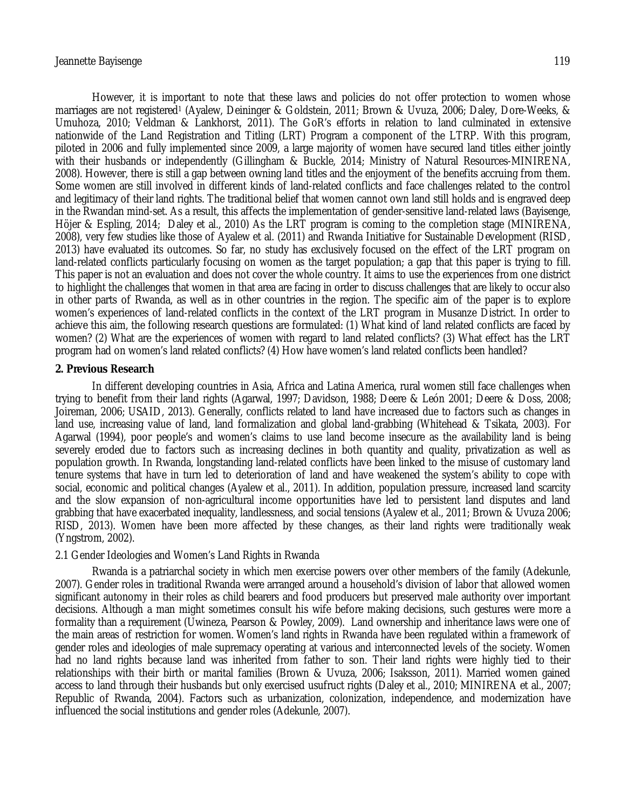However, it is important to note that these laws and policies do not offer protection to women whose marriages are not registered<sup>1</sup> (Ayalew, Deininger & Goldstein, 2011; Brown & Uyuza, 2006; Daley, Dore-Weeks, & Umuhoza, 2010; Veldman & Lankhorst, 2011). The GoR's efforts in relation to land culminated in extensive nationwide of the Land Registration and Titling (LRT) Program a component of the LTRP. With this program, piloted in 2006 and fully implemented since 2009, a large majority of women have secured land titles either jointly with their husbands or independently (Gillingham & Buckle, 2014; Ministry of Natural Resources-MINIRENA, 2008). However, there is still a gap between owning land titles and the enjoyment of the benefits accruing from them. Some women are still involved in different kinds of land-related conflicts and face challenges related to the control and legitimacy of their land rights. The traditional belief that women cannot own land still holds and is engraved deep in the Rwandan mind-set. As a result, this affects the implementation of gender-sensitive land-related laws (Bayisenge, Höjer & Espling, 2014; Daley et al., 2010) As the LRT program is coming to the completion stage (MINIRENA, 2008), very few studies like those of Ayalew et al. (2011) and Rwanda Initiative for Sustainable Development (RISD, 2013) have evaluated its outcomes. So far, no study has exclusively focused on the effect of the LRT program on land-related conflicts particularly focusing on women as the target population; a gap that this paper is trying to fill. This paper is not an evaluation and does not cover the whole country. It aims to use the experiences from one district to highlight the challenges that women in that area are facing in order to discuss challenges that are likely to occur also in other parts of Rwanda, as well as in other countries in the region. The specific aim of the paper is to explore women's experiences of land-related conflicts in the context of the LRT program in Musanze District. In order to achieve this aim, the following research questions are formulated: (1) What kind of land related conflicts are faced by women? (2) What are the experiences of women with regard to land related conflicts? (3) What effect has the LRT program had on women's land related conflicts? (4) How have women's land related conflicts been handled?

#### **2. Previous Research**

In different developing countries in Asia, Africa and Latina America, rural women still face challenges when trying to benefit from their land rights (Agarwal, 1997; Davidson, 1988; Deere & León 2001; Deere & Doss, 2008; Joireman, 2006; USAID, 2013). Generally, conflicts related to land have increased due to factors such as changes in land use, increasing value of land, land formalization and global land-grabbing (Whitehead & Tsikata, 2003). For Agarwal (1994), poor people's and women's claims to use land become insecure as the availability land is being severely eroded due to factors such as increasing declines in both quantity and quality, privatization as well as population growth. In Rwanda, longstanding land-related conflicts have been linked to the misuse of customary land tenure systems that have in turn led to deterioration of land and have weakened the system's ability to cope with social, economic and political changes (Ayalew et al., 2011). In addition, population pressure, increased land scarcity and the slow expansion of non-agricultural income opportunities have led to persistent land disputes and land grabbing that have exacerbated inequality, landlessness, and social tensions (Ayalew et al., 2011; Brown & Uvuza 2006; RISD, 2013). Women have been more affected by these changes, as their land rights were traditionally weak (Yngstrom, 2002).

### 2.1 Gender Ideologies and Women's Land Rights in Rwanda

Rwanda is a patriarchal society in which men exercise powers over other members of the family (Adekunle, 2007). Gender roles in traditional Rwanda were arranged around a household's division of labor that allowed women significant autonomy in their roles as child bearers and food producers but preserved male authority over important decisions. Although a man might sometimes consult his wife before making decisions, such gestures were more a formality than a requirement (Uwineza, Pearson & Powley, 2009). Land ownership and inheritance laws were one of the main areas of restriction for women. Women's land rights in Rwanda have been regulated within a framework of gender roles and ideologies of male supremacy operating at various and interconnected levels of the society. Women had no land rights because land was inherited from father to son. Their land rights were highly tied to their relationships with their birth or marital families (Brown & Uvuza, 2006; Isaksson, 2011). Married women gained access to land through their husbands but only exercised usufruct rights (Daley et al., 2010; MINIRENA et al., 2007; Republic of Rwanda, 2004). Factors such as urbanization, colonization, independence, and modernization have influenced the social institutions and gender roles (Adekunle, 2007).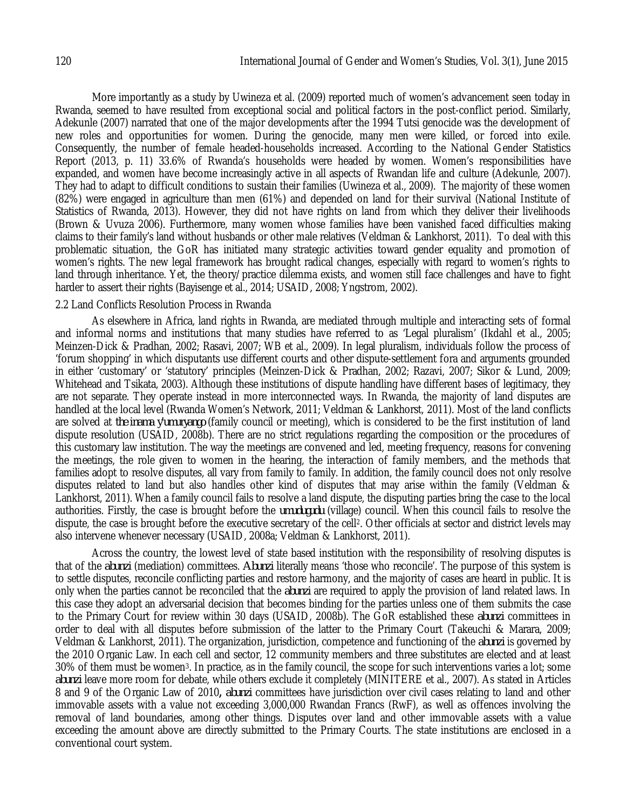More importantly as a study by Uwineza et al. (2009) reported much of women's advancement seen today in Rwanda, seemed to have resulted from exceptional social and political factors in the post-conflict period. Similarly, Adekunle (2007) narrated that one of the major developments after the 1994 Tutsi genocide was the development of new roles and opportunities for women. During the genocide, many men were killed, or forced into exile. Consequently, the number of female headed-households increased. According to the National Gender Statistics Report (2013, p. 11) 33.6% of Rwanda's households were headed by women. Women's responsibilities have expanded, and women have become increasingly active in all aspects of Rwandan life and culture (Adekunle, 2007). They had to adapt to difficult conditions to sustain their families (Uwineza et al., 2009). The majority of these women (82%) were engaged in agriculture than men (61%) and depended on land for their survival (National Institute of Statistics of Rwanda, 2013). However, they did not have rights on land from which they deliver their livelihoods (Brown & Uvuza 2006). Furthermore, many women whose families have been vanished faced difficulties making claims to their family's land without husbands or other male relatives (Veldman & Lankhorst, 2011). To deal with this problematic situation, the GoR has initiated many strategic activities toward gender equality and promotion of women's rights. The new legal framework has brought radical changes, especially with regard to women's rights to land through inheritance. Yet, the theory/practice dilemma exists, and women still face challenges and have to fight harder to assert their rights (Bayisenge et al., 2014; USAID, 2008; Yngstrom, 2002).

#### 2.2 Land Conflicts Resolution Process in Rwanda

As elsewhere in Africa, land rights in Rwanda, are mediated through multiple and interacting sets of formal and informal norms and institutions that many studies have referred to as 'Legal pluralism' (Ikdahl et al., 2005; Meinzen-Dick & Pradhan, 2002; Rasavi, 2007; WB et al., 2009). In legal pluralism, individuals follow the process of 'forum shopping' in which disputants use different courts and other dispute-settlement fora and arguments grounded in either 'customary' or 'statutory' principles (Meinzen-Dick & Pradhan, 2002; Razavi, 2007; Sikor & Lund, 2009; Whitehead and Tsikata, 2003). Although these institutions of dispute handling have different bases of legitimacy, they are not separate. They operate instead in more interconnected ways. In Rwanda, the majority of land disputes are handled at the local level (Rwanda Women's Network, 2011; Veldman & Lankhorst, 2011). Most of the land conflicts are solved at *the inama y'umuryango* (family council or meeting), which is considered to be the first institution of land dispute resolution (USAID, 2008b). There are no strict regulations regarding the composition or the procedures of this customary law institution. The way the meetings are convened and led, meeting frequency, reasons for convening the meetings, the role given to women in the hearing, the interaction of family members, and the methods that families adopt to resolve disputes, all vary from family to family. In addition, the family council does not only resolve disputes related to land but also handles other kind of disputes that may arise within the family (Veldman & Lankhorst, 2011). When a family council fails to resolve a land dispute, the disputing parties bring the case to the local authorities. Firstly, the case is brought before the *umudugudu* (village) council. When this council fails to resolve the dispute, the case is brought before the executive secretary of the cell2. Other officials at sector and district levels may also intervene whenever necessary (USAID, 2008a; Veldman & Lankhorst, 2011).

Across the country, the lowest level of state based institution with the responsibility of resolving disputes is that of the *abunzi* (mediation) committees. *Abunzi* literally means 'those who reconcile'. The purpose of this system is to settle disputes, reconcile conflicting parties and restore harmony, and the majority of cases are heard in public. It is only when the parties cannot be reconciled that the *abunzi* are required to apply the provision of land related laws. In this case they adopt an adversarial decision that becomes binding for the parties unless one of them submits the case to the Primary Court for review within 30 days (USAID, 2008b). The GoR established these *abunzi* committees in order to deal with all disputes before submission of the latter to the Primary Court (Takeuchi & Marara, 2009; Veldman & Lankhorst, 2011). The organization, jurisdiction, competence and functioning of the *abunzi* is governed by the 2010 Organic Law. In each cell and sector, 12 community members and three substitutes are elected and at least 30% of them must be women3. In practice, as in the family council, the scope for such interventions varies a lot; some *abunzi* leave more room for debate, while others exclude it completely (MINITERE et al., 2007). As stated in Articles 8 and 9 of the Organic Law of 2010**,** *abunzi* committees have jurisdiction over civil cases relating to land and other immovable assets with a value not exceeding 3,000,000 Rwandan Francs (RwF), as well as offences involving the removal of land boundaries, among other things. Disputes over land and other immovable assets with a value exceeding the amount above are directly submitted to the Primary Courts. The state institutions are enclosed in a conventional court system.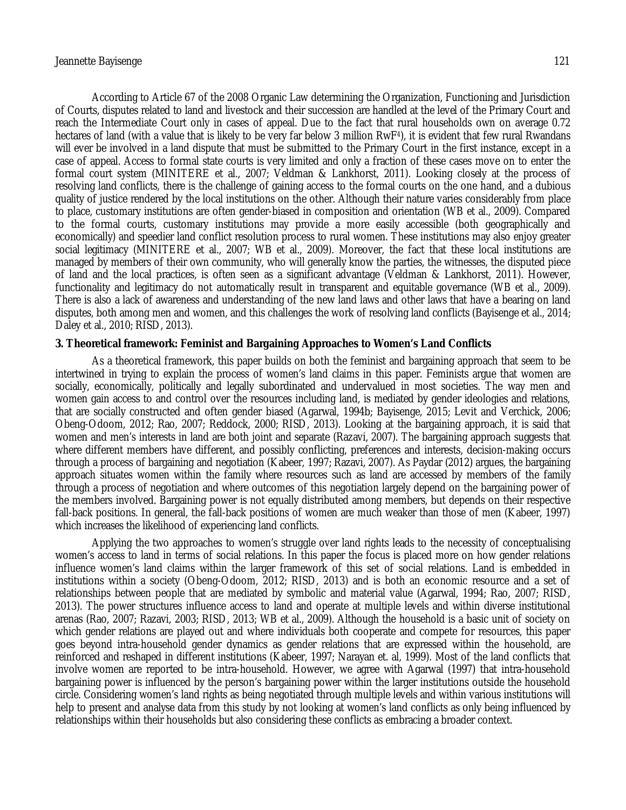According to Article 67 of the 2008 Organic Law determining the Organization, Functioning and Jurisdiction of Courts, disputes related to land and livestock and their succession are handled at the level of the Primary Court and reach the Intermediate Court only in cases of appeal. Due to the fact that rural households own on average 0.72 hectares of land (with a value that is likely to be very far below 3 million RwF4), it is evident that few rural Rwandans will ever be involved in a land dispute that must be submitted to the Primary Court in the first instance, except in a case of appeal. Access to formal state courts is very limited and only a fraction of these cases move on to enter the formal court system (MINITERE et al., 2007; Veldman & Lankhorst, 2011). Looking closely at the process of resolving land conflicts, there is the challenge of gaining access to the formal courts on the one hand, and a dubious quality of justice rendered by the local institutions on the other. Although their nature varies considerably from place to place, customary institutions are often gender-biased in composition and orientation (WB et al., 2009). Compared to the formal courts, customary institutions may provide a more easily accessible (both geographically and economically) and speedier land conflict resolution process to rural women. These institutions may also enjoy greater social legitimacy (MINITERE et al., 2007; WB et al., 2009). Moreover, the fact that these local institutions are managed by members of their own community, who will generally know the parties, the witnesses, the disputed piece of land and the local practices, is often seen as a significant advantage (Veldman & Lankhorst, 2011). However, functionality and legitimacy do not automatically result in transparent and equitable governance (WB et al., 2009). There is also a lack of awareness and understanding of the new land laws and other laws that have a bearing on land disputes, both among men and women, and this challenges the work of resolving land conflicts (Bayisenge et al., 2014; Daley et al., 2010; RISD, 2013).

#### **3. Theoretical framework: Feminist and Bargaining Approaches to Women's Land Conflicts**

As a theoretical framework, this paper builds on both the feminist and bargaining approach that seem to be intertwined in trying to explain the process of women's land claims in this paper. Feminists argue that women are socially, economically, politically and legally subordinated and undervalued in most societies. The way men and women gain access to and control over the resources including land, is mediated by gender ideologies and relations, that are socially constructed and often gender biased (Agarwal, 1994b; Bayisenge, 2015; Levit and Verchick, 2006; Obeng-Odoom, 2012; Rao, 2007; Reddock, 2000; RISD, 2013). Looking at the bargaining approach, it is said that women and men's interests in land are both joint and separate (Razavi, 2007). The bargaining approach suggests that where different members have different, and possibly conflicting, preferences and interests, decision-making occurs through a process of bargaining and negotiation (Kabeer, 1997; Razavi, 2007). As Paydar (2012) argues, the bargaining approach situates women within the family where resources such as land are accessed by members of the family through a process of negotiation and where outcomes of this negotiation largely depend on the bargaining power of the members involved. Bargaining power is not equally distributed among members, but depends on their respective fall-back positions. In general, the fall-back positions of women are much weaker than those of men (Kabeer, 1997) which increases the likelihood of experiencing land conflicts.

Applying the two approaches to women's struggle over land rights leads to the necessity of conceptualising women's access to land in terms of social relations. In this paper the focus is placed more on how gender relations influence women's land claims within the larger framework of this set of social relations. Land is embedded in institutions within a society (Obeng-Odoom, 2012; RISD, 2013) and is both an economic resource and a set of relationships between people that are mediated by symbolic and material value (Agarwal, 1994; Rao, 2007; RISD, 2013). The power structures influence access to land and operate at multiple levels and within diverse institutional arenas (Rao, 2007; Razavi, 2003; RISD, 2013; WB et al., 2009). Although the household is a basic unit of society on which gender relations are played out and where individuals both cooperate and compete for resources, this paper goes beyond intra-household gender dynamics as gender relations that are expressed within the household, are reinforced and reshaped in different institutions (Kabeer, 1997; Narayan et. al, 1999). Most of the land conflicts that involve women are reported to be intra-household. However, we agree with Agarwal (1997) that intra-household bargaining power is influenced by the person's bargaining power within the larger institutions outside the household circle. Considering women's land rights as being negotiated through multiple levels and within various institutions will help to present and analyse data from this study by not looking at women's land conflicts as only being influenced by relationships within their households but also considering these conflicts as embracing a broader context.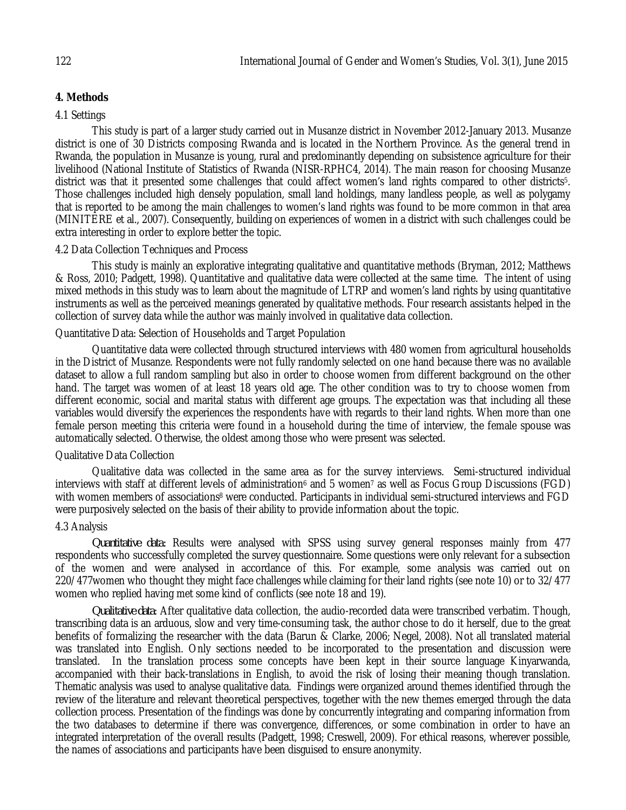# **4. Methods**

## 4.1 Settings

This study is part of a larger study carried out in Musanze district in November 2012-January 2013. Musanze district is one of 30 Districts composing Rwanda and is located in the Northern Province. As the general trend in Rwanda, the population in Musanze is young, rural and predominantly depending on subsistence agriculture for their livelihood (National Institute of Statistics of Rwanda (NISR-RPHC4, 2014). The main reason for choosing Musanze district was that it presented some challenges that could affect women's land rights compared to other districts<sup>5</sup>. Those challenges included high densely population, small land holdings, many landless people, as well as polygamy that is reported to be among the main challenges to women's land rights was found to be more common in that area (MINITERE et al., 2007). Consequently, building on experiences of women in a district with such challenges could be extra interesting in order to explore better the topic.

### 4.2 Data Collection Techniques and Process

This study is mainly an explorative integrating qualitative and quantitative methods (Bryman, 2012; Matthews & Ross, 2010; Padgett, 1998). Quantitative and qualitative data were collected at the same time. The intent of using mixed methods in this study was to learn about the magnitude of LTRP and women's land rights by using quantitative instruments as well as the perceived meanings generated by qualitative methods. Four research assistants helped in the collection of survey data while the author was mainly involved in qualitative data collection.

### Quantitative Data: Selection of Households and Target Population

Quantitative data were collected through structured interviews with 480 women from agricultural households in the District of Musanze. Respondents were not fully randomly selected on one hand because there was no available dataset to allow a full random sampling but also in order to choose women from different background on the other hand. The target was women of at least 18 years old age. The other condition was to try to choose women from different economic, social and marital status with different age groups. The expectation was that including all these variables would diversify the experiences the respondents have with regards to their land rights. When more than one female person meeting this criteria were found in a household during the time of interview, the female spouse was automatically selected. Otherwise, the oldest among those who were present was selected.

### Qualitative Data Collection

Qualitative data was collected in the same area as for the survey interviews. Semi-structured individual interviews with staff at different levels of administration<sup>6</sup> and 5 women<sup>7</sup> as well as Focus Group Discussions (FGD) with women members of associations<sup>8</sup> were conducted. Participants in individual semi-structured interviews and FGD were purposively selected on the basis of their ability to provide information about the topic.

### 4.3 Analysis

*Quantitative data:* Results were analysed with SPSS using survey general responses mainly from 477 respondents who successfully completed the survey questionnaire. Some questions were only relevant for a subsection of the women and were analysed in accordance of this. For example, some analysis was carried out on 220/477women who thought they might face challenges while claiming for their land rights (see note 10) or to 32/477 women who replied having met some kind of conflicts (see note 18 and 19).

*Qualitative data*: After qualitative data collection, the audio-recorded data were transcribed verbatim. Though, transcribing data is an arduous, slow and very time-consuming task, the author chose to do it herself, due to the great benefits of formalizing the researcher with the data (Barun & Clarke, 2006; Negel, 2008). Not all translated material was translated into English. Only sections needed to be incorporated to the presentation and discussion were translated. In the translation process some concepts have been kept in their source language Kinyarwanda, accompanied with their back-translations in English, to avoid the risk of losing their meaning though translation. Thematic analysis was used to analyse qualitative data. Findings were organized around themes identified through the review of the literature and relevant theoretical perspectives, together with the new themes emerged through the data collection process. Presentation of the findings was done by concurrently integrating and comparing information from the two databases to determine if there was convergence, differences, or some combination in order to have an integrated interpretation of the overall results (Padgett, 1998; Creswell, 2009). For ethical reasons, wherever possible, the names of associations and participants have been disguised to ensure anonymity.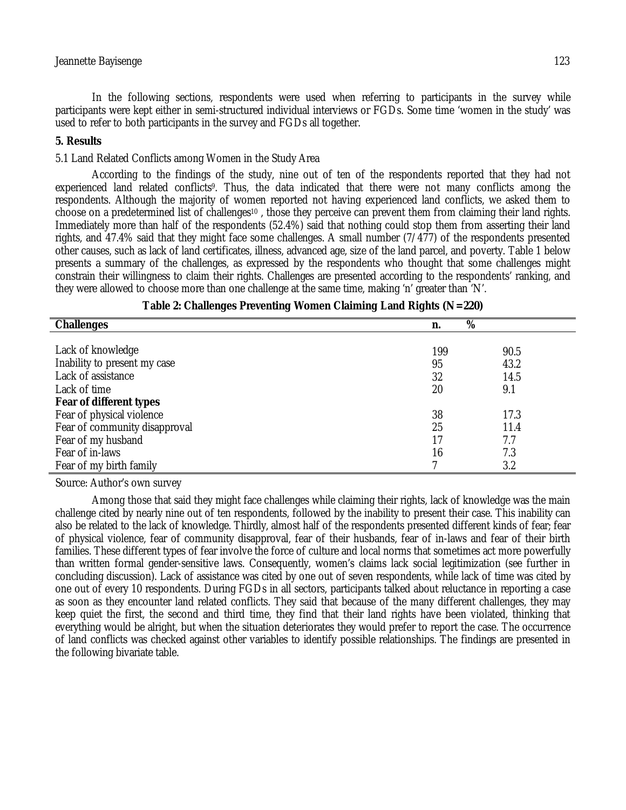#### Jeannette Bayisenge 123

In the following sections, respondents were used when referring to participants in the survey while participants were kept either in semi-structured individual interviews or FGDs. Some time 'women in the study' was used to refer to both participants in the survey and FGDs all together.

### **5. Results**

5.1 Land Related Conflicts among Women in the Study Area

According to the findings of the study, nine out of ten of the respondents reported that they had not experienced land related conflicts9. Thus, the data indicated that there were not many conflicts among the respondents. Although the majority of women reported not having experienced land conflicts, we asked them to choose on a predetermined list of challenges<sup>10</sup> , those they perceive can prevent them from claiming their land rights. Immediately more than half of the respondents (52.4%) said that nothing could stop them from asserting their land rights, and 47.4% said that they might face some challenges. A small number (7/477) of the respondents presented other causes, such as lack of land certificates, illness, advanced age, size of the land parcel, and poverty. Table 1 below presents a summary of the challenges, as expressed by the respondents who thought that some challenges might constrain their willingness to claim their rights. Challenges are presented according to the respondents' ranking, and they were allowed to choose more than one challenge at the same time, making 'n' greater than 'N'.

| <b>Challenges</b>             | $\overline{\%}$<br>n. |      |
|-------------------------------|-----------------------|------|
|                               |                       |      |
| Lack of knowledge             | 199                   | 90.5 |
| Inability to present my case  | 95                    | 43.2 |
| Lack of assistance            | 32                    | 14.5 |
| Lack of time                  | 20                    | 9.1  |
| Fear of different types       |                       |      |
| Fear of physical violence     | 38                    | 17.3 |
| Fear of community disapproval | 25                    | 11.4 |
| Fear of my husband            | 17                    | 7.7  |
| Fear of in-laws               | 16                    | 7.3  |
| Fear of my birth family       |                       | 3.2  |

| Table 2: Challenges Preventing Women Claiming Land Rights (N=220) |  |  |  |
|-------------------------------------------------------------------|--|--|--|
|-------------------------------------------------------------------|--|--|--|

Source: Author's own survey

Among those that said they might face challenges while claiming their rights, lack of knowledge was the main challenge cited by nearly nine out of ten respondents, followed by the inability to present their case. This inability can also be related to the lack of knowledge. Thirdly, almost half of the respondents presented different kinds of fear; fear of physical violence, fear of community disapproval, fear of their husbands, fear of in-laws and fear of their birth families. These different types of fear involve the force of culture and local norms that sometimes act more powerfully than written formal gender-sensitive laws. Consequently, women's claims lack social legitimization (see further in concluding discussion). Lack of assistance was cited by one out of seven respondents, while lack of time was cited by one out of every 10 respondents. During FGDs in all sectors, participants talked about reluctance in reporting a case as soon as they encounter land related conflicts. They said that because of the many different challenges, they may keep quiet the first, the second and third time, they find that their land rights have been violated, thinking that everything would be alright, but when the situation deteriorates they would prefer to report the case. The occurrence of land conflicts was checked against other variables to identify possible relationships. The findings are presented in the following bivariate table.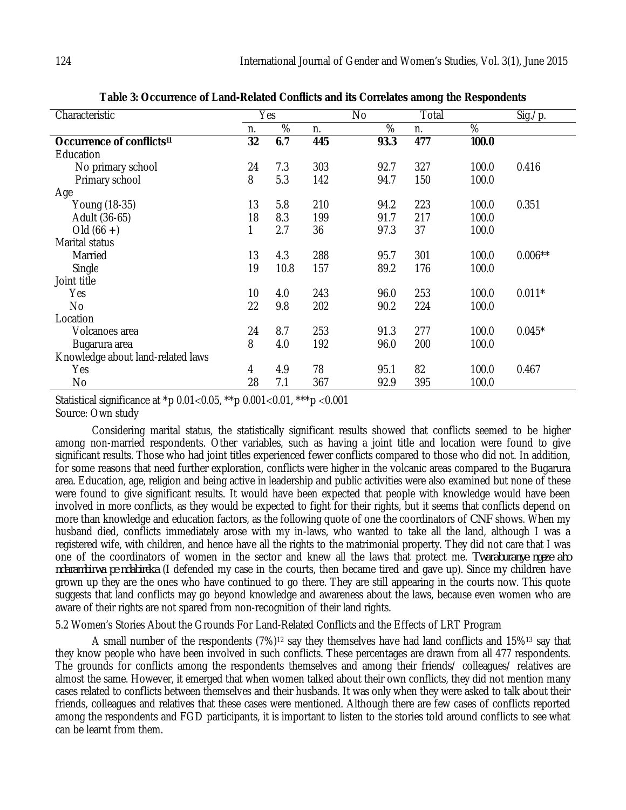| Yes |      |     | <b>No</b> |     |       | Sig./p.   |
|-----|------|-----|-----------|-----|-------|-----------|
| n.  | %    | n.  | %         | n.  | %     |           |
| 32  | 6.7  | 445 | 93.3      | 477 | 100.0 |           |
|     |      |     |           |     |       |           |
| 24  | 7.3  | 303 | 92.7      | 327 | 100.0 | 0.416     |
| 8   | 5.3  | 142 | 94.7      | 150 | 100.0 |           |
|     |      |     |           |     |       |           |
| 13  | 5.8  | 210 | 94.2      | 223 | 100.0 | 0.351     |
| 18  | 8.3  | 199 | 91.7      | 217 | 100.0 |           |
| 1   | 2.7  | 36  | 97.3      | 37  | 100.0 |           |
|     |      |     |           |     |       |           |
| 13  | 4.3  | 288 | 95.7      | 301 | 100.0 | $0.006**$ |
| 19  | 10.8 | 157 | 89.2      | 176 | 100.0 |           |
|     |      |     |           |     |       |           |
| 10  | 4.0  | 243 | 96.0      | 253 | 100.0 | $0.011*$  |
| 22  | 9.8  | 202 | 90.2      | 224 | 100.0 |           |
|     |      |     |           |     |       |           |
| 24  | 8.7  | 253 | 91.3      | 277 | 100.0 | $0.045*$  |
| 8   | 4.0  | 192 | 96.0      | 200 | 100.0 |           |
|     |      |     |           |     |       |           |
| 4   | 4.9  | 78  | 95.1      | 82  | 100.0 | 0.467     |
| 28  | 7.1  | 367 | 92.9      | 395 | 100.0 |           |
|     |      |     |           |     | Total |           |

**Table 3: Occurrence of Land-Related Conflicts and its Correlates among the Respondents**

Statistical significance at \*p 0.01<0.05, \*\*p 0.001<0.01, \*\*\*p <0.001 Source: Own study

Considering marital status, the statistically significant results showed that conflicts seemed to be higher among non-married respondents. Other variables, such as having a joint title and location were found to give significant results. Those who had joint titles experienced fewer conflicts compared to those who did not. In addition, for some reasons that need further exploration, conflicts were higher in the volcanic areas compared to the Bugarura area. Education, age, religion and being active in leadership and public activities were also examined but none of these were found to give significant results. It would have been expected that people with knowledge would have been involved in more conflicts, as they would be expected to fight for their rights, but it seems that conflicts depend on more than knowledge and education factors, as the following quote of one the coordinators of *CNF* shows. When my husband died, conflicts immediately arose with my in-laws, who wanted to take all the land, although I was a registered wife, with children, and hence have all the rights to the matrimonial property. They did not care that I was one of the coordinators of women in the sector and knew all the laws that protect me. *Twaraburanye ngeze aho ndarambirwa pe ndabireka* (I defended my case in the courts, then became tired and gave up). Since my children have grown up they are the ones who have continued to go there. They are still appearing in the courts now. This quote suggests that land conflicts may go beyond knowledge and awareness about the laws, because even women who are aware of their rights are not spared from non-recognition of their land rights.

5.2 Women's Stories About the Grounds For Land-Related Conflicts and the Effects of LRT Program

A small number of the respondents (7%)<sup>12</sup> say they themselves have had land conflicts and 15%<sup>13</sup> say that they know people who have been involved in such conflicts. These percentages are drawn from all 477 respondents. The grounds for conflicts among the respondents themselves and among their friends/ colleagues/ relatives are almost the same. However, it emerged that when women talked about their own conflicts, they did not mention many cases related to conflicts between themselves and their husbands. It was only when they were asked to talk about their friends, colleagues and relatives that these cases were mentioned. Although there are few cases of conflicts reported among the respondents and FGD participants, it is important to listen to the stories told around conflicts to see what can be learnt from them.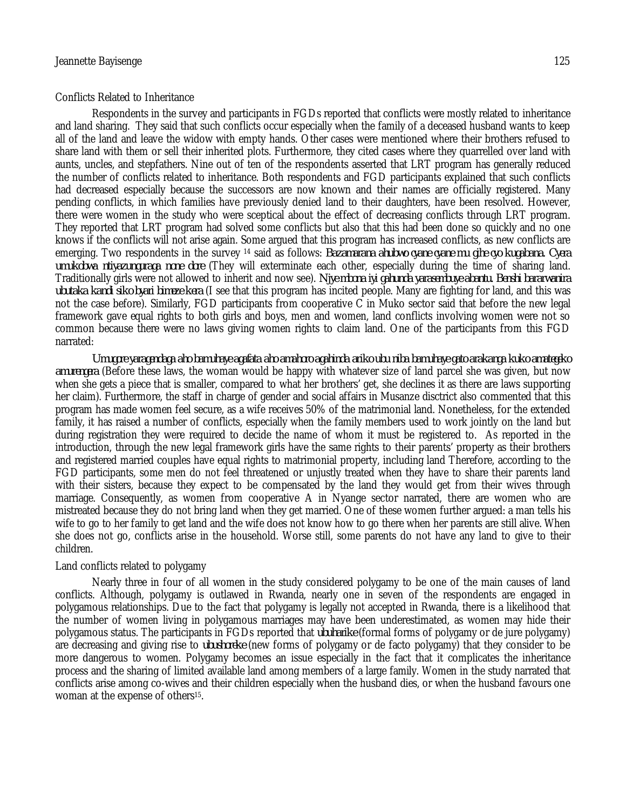#### Conflicts Related to Inheritance

Respondents in the survey and participants in FGDs reported that conflicts were mostly related to inheritance and land sharing. They said that such conflicts occur especially when the family of a deceased husband wants to keep all of the land and leave the widow with empty hands. Other cases were mentioned where their brothers refused to share land with them or sell their inherited plots. Furthermore, they cited cases where they quarrelled over land with aunts, uncles, and stepfathers. Nine out of ten of the respondents asserted that LRT program has generally reduced the number of conflicts related to inheritance. Both respondents and FGD participants explained that such conflicts had decreased especially because the successors are now known and their names are officially registered. Many pending conflicts, in which families have previously denied land to their daughters, have been resolved. However, there were women in the study who were sceptical about the effect of decreasing conflicts through LRT program. They reported that LRT program had solved some conflicts but also that this had been done so quickly and no one knows if the conflicts will not arise again. Some argued that this program has increased conflicts, as new conflicts are emerging. Two respondents in the survey <sup>14</sup> said as follows: *Bazamarana ahubwo cyane cyane mu gihe cyo kugabana. Cyera umukobwa ntiyazunguraga none dore* (They will exterminate each other, especially during the time of sharing land. Traditionally girls were not allowed to inherit and now see). *Njye mbona iyi gahunda yarasembuye abantu. Benshi bararwanira ubutaka kandi siko byari bimeze kera* (I see that this program has incited people. Many are fighting for land, and this was not the case before). Similarly, FGD participants from cooperative C in Muko sector said that before the new legal framework gave equal rights to both girls and boys, men and women, land conflicts involving women were not so common because there were no laws giving women rights to claim land. One of the participants from this FGD narrated:

*Umugore yaragendaga aho bamuhaye agafata aho amahoro agahinda ariko ubu niba bamuhaye gato arakanga kuko amategeko amurengera* (Before these laws, the woman would be happy with whatever size of land parcel she was given, but now when she gets a piece that is smaller, compared to what her brothers' get, she declines it as there are laws supporting her claim). Furthermore, the staff in charge of gender and social affairs in Musanze disctrict also commented that this program has made women feel secure, as a wife receives 50% of the matrimonial land. Nonetheless, for the extended family, it has raised a number of conflicts, especially when the family members used to work jointly on the land but during registration they were required to decide the name of whom it must be registered to. As reported in the introduction, through the new legal framework girls have the same rights to their parents' property as their brothers and registered married couples have equal rights to matrimonial property, including land Therefore, according to the FGD participants, some men do not feel threatened or unjustly treated when they have to share their parents land with their sisters, because they expect to be compensated by the land they would get from their wives through marriage. Consequently, as women from cooperative A in Nyange sector narrated, there are women who are mistreated because they do not bring land when they get married. One of these women further argued: a man tells his wife to go to her family to get land and the wife does not know how to go there when her parents are still alive. When she does not go, conflicts arise in the household. Worse still, some parents do not have any land to give to their children.

#### Land conflicts related to polygamy

Nearly three in four of all women in the study considered polygamy to be one of the main causes of land conflicts. Although, polygamy is outlawed in Rwanda, nearly one in seven of the respondents are engaged in polygamous relationships. Due to the fact that polygamy is legally not accepted in Rwanda, there is a likelihood that the number of women living in polygamous marriages may have been underestimated, as women may hide their polygamous status. The participants in FGDs reported that *ubuharike* (formal forms of polygamy or de jure polygamy) are decreasing and giving rise to *ubushoreke* (new forms of polygamy or de facto polygamy) that they consider to be more dangerous to women. Polygamy becomes an issue especially in the fact that it complicates the inheritance process and the sharing of limited available land among members of a large family. Women in the study narrated that conflicts arise among co-wives and their children especially when the husband dies, or when the husband favours one woman at the expense of others<sup>15</sup>.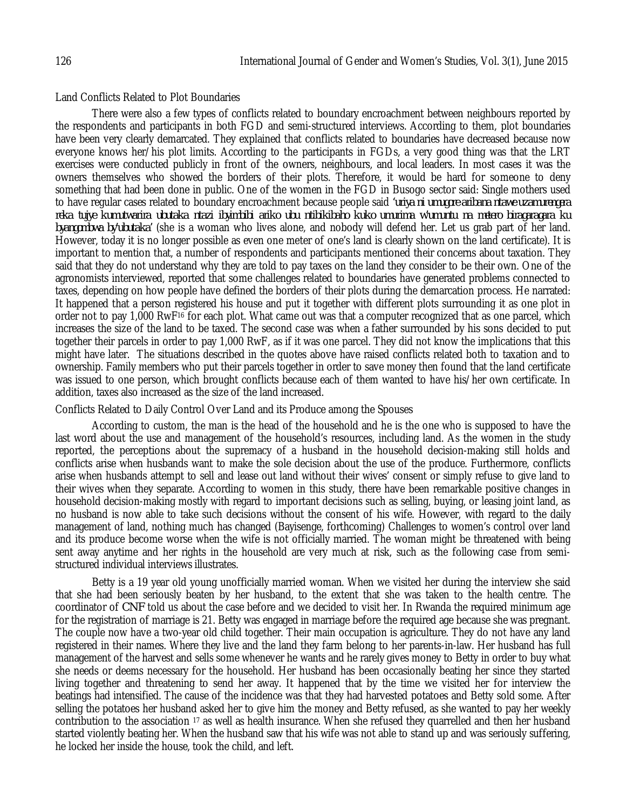#### Land Conflicts Related to Plot Boundaries

There were also a few types of conflicts related to boundary encroachment between neighbours reported by the respondents and participants in both FGD and semi-structured interviews. According to them, plot boundaries have been very clearly demarcated. They explained that conflicts related to boundaries have decreased because now everyone knows her/his plot limits. According to the participants in FGDs, a very good thing was that the LRT exercises were conducted publicly in front of the owners, neighbours, and local leaders. In most cases it was the owners themselves who showed the borders of their plots. Therefore, it would be hard for someone to deny something that had been done in public. One of the women in the FGD in Busogo sector said: Single mothers used to have regular cases related to boundary encroachment because people said *'uriya ni umugore aribana ntawe uzamurengera reka tujye kumutwarira ubutaka ntazi ibyimbibi ariko ubu ntibikibaho kuko umurima w'umuntu na metero biragaragara ku byangombwa by'ubutaka'* (she is a woman who lives alone, and nobody will defend her. Let us grab part of her land. However, today it is no longer possible as even one meter of one's land is clearly shown on the land certificate). It is important to mention that, a number of respondents and participants mentioned their concerns about taxation. They said that they do not understand why they are told to pay taxes on the land they consider to be their own. One of the agronomists interviewed, reported that some challenges related to boundaries have generated problems connected to taxes, depending on how people have defined the borders of their plots during the demarcation process. He narrated: It happened that a person registered his house and put it together with different plots surrounding it as one plot in order not to pay 1,000 RwF<sup>16</sup> for each plot. What came out was that a computer recognized that as one parcel, which increases the size of the land to be taxed. The second case was when a father surrounded by his sons decided to put together their parcels in order to pay 1,000 RwF, as if it was one parcel. They did not know the implications that this might have later. The situations described in the quotes above have raised conflicts related both to taxation and to ownership. Family members who put their parcels together in order to save money then found that the land certificate was issued to one person, which brought conflicts because each of them wanted to have his/her own certificate. In addition, taxes also increased as the size of the land increased.

#### Conflicts Related to Daily Control Over Land and its Produce among the Spouses

According to custom, the man is the head of the household and he is the one who is supposed to have the last word about the use and management of the household's resources, including land. As the women in the study reported, the perceptions about the supremacy of a husband in the household decision-making still holds and conflicts arise when husbands want to make the sole decision about the use of the produce. Furthermore, conflicts arise when husbands attempt to sell and lease out land without their wives' consent or simply refuse to give land to their wives when they separate. According to women in this study, there have been remarkable positive changes in household decision-making mostly with regard to important decisions such as selling, buying, or leasing joint land, as no husband is now able to take such decisions without the consent of his wife. However, with regard to the daily management of land, nothing much has changed (Bayisenge, forthcoming) Challenges to women's control over land and its produce become worse when the wife is not officially married. The woman might be threatened with being sent away anytime and her rights in the household are very much at risk, such as the following case from semistructured individual interviews illustrates.

Betty is a 19 year old young unofficially married woman. When we visited her during the interview she said that she had been seriously beaten by her husband, to the extent that she was taken to the health centre. The coordinator of *CNF* told us about the case before and we decided to visit her. In Rwanda the required minimum age for the registration of marriage is 21. Betty was engaged in marriage before the required age because she was pregnant. The couple now have a two-year old child together. Their main occupation is agriculture. They do not have any land registered in their names. Where they live and the land they farm belong to her parents-in-law. Her husband has full management of the harvest and sells some whenever he wants and he rarely gives money to Betty in order to buy what she needs or deems necessary for the household. Her husband has been occasionally beating her since they started living together and threatening to send her away. It happened that by the time we visited her for interview the beatings had intensified. The cause of the incidence was that they had harvested potatoes and Betty sold some. After selling the potatoes her husband asked her to give him the money and Betty refused, as she wanted to pay her weekly contribution to the association <sup>17</sup> as well as health insurance. When she refused they quarrelled and then her husband started violently beating her. When the husband saw that his wife was not able to stand up and was seriously suffering, he locked her inside the house, took the child, and left.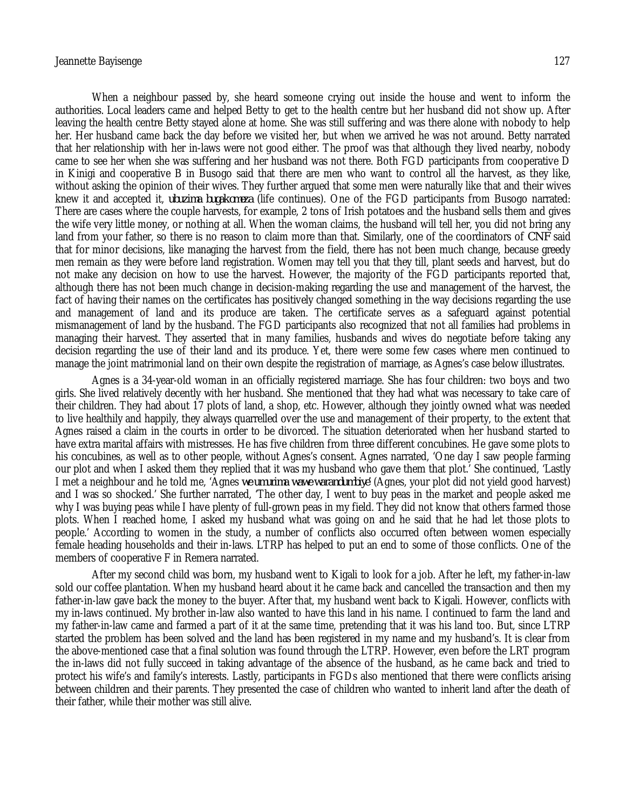When a neighbour passed by, she heard someone crying out inside the house and went to inform the authorities. Local leaders came and helped Betty to get to the health centre but her husband did not show up. After leaving the health centre Betty stayed alone at home. She was still suffering and was there alone with nobody to help her. Her husband came back the day before we visited her, but when we arrived he was not around. Betty narrated that her relationship with her in-laws were not good either. The proof was that although they lived nearby, nobody came to see her when she was suffering and her husband was not there. Both FGD participants from cooperative D in Kinigi and cooperative B in Busogo said that there are men who want to control all the harvest, as they like, without asking the opinion of their wives. They further argued that some men were naturally like that and their wives knew it and accepted it, *ubuzima bugakomeza* (life continues). One of the FGD participants from Busogo narrated: There are cases where the couple harvests, for example, 2 tons of Irish potatoes and the husband sells them and gives the wife very little money, or nothing at all. When the woman claims, the husband will tell her, you did not bring any land from your father, so there is no reason to claim more than that. Similarly, one of the coordinators of *CNF* said that for minor decisions, like managing the harvest from the field, there has not been much change, because greedy men remain as they were before land registration. Women may tell you that they till, plant seeds and harvest, but do not make any decision on how to use the harvest. However, the majority of the FGD participants reported that, although there has not been much change in decision-making regarding the use and management of the harvest, the fact of having their names on the certificates has positively changed something in the way decisions regarding the use and management of land and its produce are taken. The certificate serves as a safeguard against potential mismanagement of land by the husband. The FGD participants also recognized that not all families had problems in managing their harvest. They asserted that in many families, husbands and wives do negotiate before taking any decision regarding the use of their land and its produce. Yet, there were some few cases where men continued to manage the joint matrimonial land on their own despite the registration of marriage, as Agnes's case below illustrates.

Agnes is a 34-year-old woman in an officially registered marriage. She has four children: two boys and two girls. She lived relatively decently with her husband. She mentioned that they had what was necessary to take care of their children. They had about 17 plots of land, a shop, etc. However, although they jointly owned what was needed to live healthily and happily, they always quarrelled over the use and management of their property, to the extent that Agnes raised a claim in the courts in order to be divorced. The situation deteriorated when her husband started to have extra marital affairs with mistresses. He has five children from three different concubines. He gave some plots to his concubines, as well as to other people, without Agnes's consent. Agnes narrated, 'One day I saw people farming our plot and when I asked them they replied that it was my husband who gave them that plot.' She continued, 'Lastly I met a neighbour and he told me, 'Agnes *we umurima wawe warandumbiye'* (Agnes, your plot did not yield good harvest) and I was so shocked.' She further narrated, 'The other day, I went to buy peas in the market and people asked me why I was buying peas while I have plenty of full-grown peas in my field. They did not know that others farmed those plots. When I reached home, I asked my husband what was going on and he said that he had let those plots to people.' According to women in the study, a number of conflicts also occurred often between women especially female heading households and their in-laws. LTRP has helped to put an end to some of those conflicts. One of the members of cooperative F in Remera narrated.

After my second child was born, my husband went to Kigali to look for a job. After he left, my father-in-law sold our coffee plantation. When my husband heard about it he came back and cancelled the transaction and then my father-in-law gave back the money to the buyer. After that, my husband went back to Kigali. However, conflicts with my in-laws continued. My brother in-law also wanted to have this land in his name. I continued to farm the land and my father-in-law came and farmed a part of it at the same time, pretending that it was his land too. But, since LTRP started the problem has been solved and the land has been registered in my name and my husband's. It is clear from the above-mentioned case that a final solution was found through the LTRP. However, even before the LRT program the in-laws did not fully succeed in taking advantage of the absence of the husband, as he came back and tried to protect his wife's and family's interests. Lastly, participants in FGDs also mentioned that there were conflicts arising between children and their parents. They presented the case of children who wanted to inherit land after the death of their father, while their mother was still alive.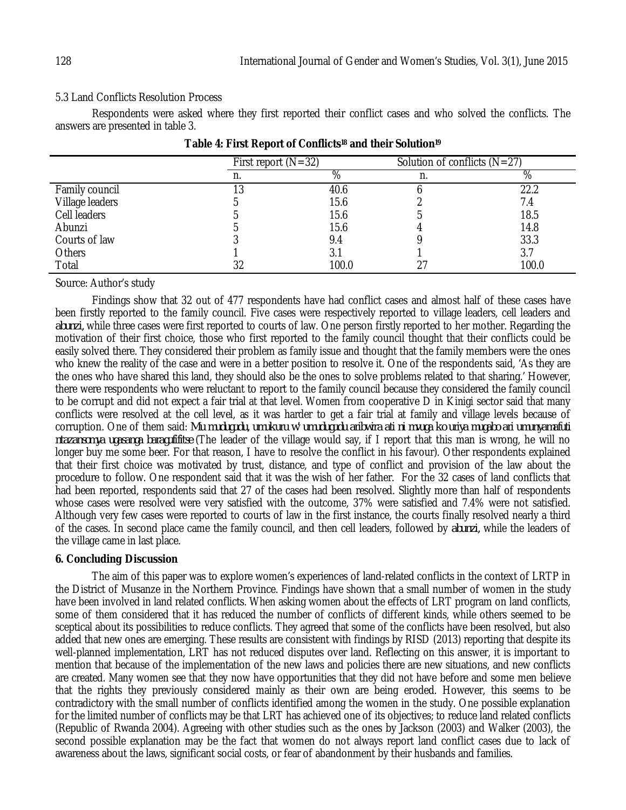# 5.3 Land Conflicts Resolution Process

Respondents were asked where they first reported their conflict cases and who solved the conflicts. The answers are presented in table 3.

|                 | First report $(N=32)$ |       | Solution of conflicts $(N=27)$ |       |  |
|-----------------|-----------------------|-------|--------------------------------|-------|--|
|                 | n.                    | %     |                                | %     |  |
| Family council  | 13                    | 40.6  |                                | 22.2  |  |
| Village leaders |                       | 15.6  |                                | 7.4   |  |
| Cell leaders    |                       | 15.6  |                                | 18.5  |  |
| Abunzi          |                       | 15.6  |                                | 14.8  |  |
| Courts of law   |                       | 9.4   |                                | 33.3  |  |
| Others          |                       | 3.1   |                                | 3.7   |  |
| Total           | 32                    | 100.0 |                                | 100.0 |  |

|  |  | Table 4: First Report of Conflicts <sup>18</sup> and their Solution <sup>19</sup> |  |  |
|--|--|-----------------------------------------------------------------------------------|--|--|
|  |  |                                                                                   |  |  |

Source: Author's study

Findings show that 32 out of 477 respondents have had conflict cases and almost half of these cases have been firstly reported to the family council. Five cases were respectively reported to village leaders, cell leaders and *abunzi,* while three cases were first reported to courts of law. One person firstly reported to her mother. Regarding the motivation of their first choice, those who first reported to the family council thought that their conflicts could be easily solved there. They considered their problem as family issue and thought that the family members were the ones who knew the reality of the case and were in a better position to resolve it. One of the respondents said, 'As they are the ones who have shared this land, they should also be the ones to solve problems related to that sharing.' However, there were respondents who were reluctant to report to the family council because they considered the family council to be corrupt and did not expect a fair trial at that level. Women from cooperative D in Kinigi sector said that many conflicts were resolved at the cell level, as it was harder to get a fair trial at family and village levels because of corruption. One of them said: *Mu mudugudu, umukuru w' umudugudu aribwira ati ni mvuga ko uriya mugabo ari umunyamafuti ntazansomya ugasanga baragufifitse* (The leader of the village would say, if I report that this man is wrong, he will no longer buy me some beer. For that reason, I have to resolve the conflict in his favour). Other respondents explained that their first choice was motivated by trust, distance, and type of conflict and provision of the law about the procedure to follow. One respondent said that it was the wish of her father. For the 32 cases of land conflicts that had been reported, respondents said that 27 of the cases had been resolved. Slightly more than half of respondents whose cases were resolved were very satisfied with the outcome, 37% were satisfied and 7.4% were not satisfied. Although very few cases were reported to courts of law in the first instance, the courts finally resolved nearly a third of the cases. In second place came the family council, and then cell leaders, followed by *abunzi,* while the leaders of the village came in last place.

# **6. Concluding Discussion**

The aim of this paper was to explore women's experiences of land-related conflicts in the context of LRTP in the District of Musanze in the Northern Province. Findings have shown that a small number of women in the study have been involved in land related conflicts. When asking women about the effects of LRT program on land conflicts, some of them considered that it has reduced the number of conflicts of different kinds, while others seemed to be sceptical about its possibilities to reduce conflicts. They agreed that some of the conflicts have been resolved, but also added that new ones are emerging. These results are consistent with findings by RISD (2013) reporting that despite its well-planned implementation, LRT has not reduced disputes over land. Reflecting on this answer, it is important to mention that because of the implementation of the new laws and policies there are new situations, and new conflicts are created. Many women see that they now have opportunities that they did not have before and some men believe that the rights they previously considered mainly as their own are being eroded. However, this seems to be contradictory with the small number of conflicts identified among the women in the study. One possible explanation for the limited number of conflicts may be that LRT has achieved one of its objectives; to reduce land related conflicts (Republic of Rwanda 2004). Agreeing with other studies such as the ones by Jackson (2003) and Walker (2003), the second possible explanation may be the fact that women do not always report land conflict cases due to lack of awareness about the laws, significant social costs, or fear of abandonment by their husbands and families.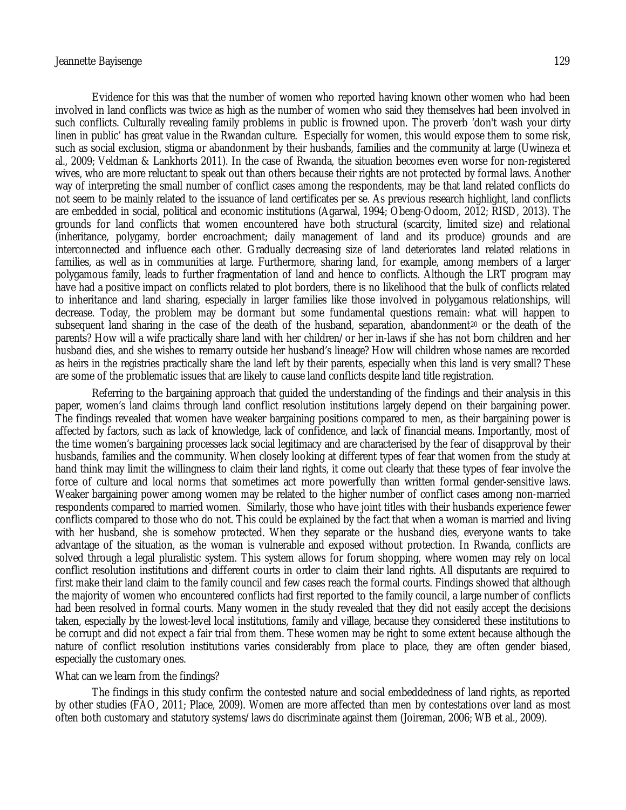Evidence for this was that the number of women who reported having known other women who had been involved in land conflicts was twice as high as the number of women who said they themselves had been involved in such conflicts. Culturally revealing family problems in public is frowned upon. The proverb 'don't wash your dirty linen in public' has great value in the Rwandan culture. Especially for women, this would expose them to some risk, such as social exclusion, stigma or abandonment by their husbands, families and the community at large (Uwineza et al., 2009; Veldman & Lankhorts 2011). In the case of Rwanda, the situation becomes even worse for non-registered wives, who are more reluctant to speak out than others because their rights are not protected by formal laws. Another way of interpreting the small number of conflict cases among the respondents, may be that land related conflicts do not seem to be mainly related to the issuance of land certificates per se. As previous research highlight, land conflicts are embedded in social, political and economic institutions (Agarwal, 1994; Obeng-Odoom, 2012; RISD, 2013). The grounds for land conflicts that women encountered have both structural (scarcity, limited size) and relational (inheritance, polygamy, border encroachment; daily management of land and its produce) grounds and are interconnected and influence each other. Gradually decreasing size of land deteriorates land related relations in families, as well as in communities at large. Furthermore, sharing land, for example, among members of a larger polygamous family, leads to further fragmentation of land and hence to conflicts. Although the LRT program may have had a positive impact on conflicts related to plot borders, there is no likelihood that the bulk of conflicts related to inheritance and land sharing, especially in larger families like those involved in polygamous relationships, will decrease. Today, the problem may be dormant but some fundamental questions remain: what will happen to subsequent land sharing in the case of the death of the husband, separation, abandonment<sup>20</sup> or the death of the parents? How will a wife practically share land with her children/or her in-laws if she has not born children and her husband dies, and she wishes to remarry outside her husband's lineage? How will children whose names are recorded as heirs in the registries practically share the land left by their parents, especially when this land is very small? These are some of the problematic issues that are likely to cause land conflicts despite land title registration.

Referring to the bargaining approach that guided the understanding of the findings and their analysis in this paper, women's land claims through land conflict resolution institutions largely depend on their bargaining power. The findings revealed that women have weaker bargaining positions compared to men, as their bargaining power is affected by factors, such as lack of knowledge, lack of confidence, and lack of financial means. Importantly, most of the time women's bargaining processes lack social legitimacy and are characterised by the fear of disapproval by their husbands, families and the community. When closely looking at different types of fear that women from the study at hand think may limit the willingness to claim their land rights, it come out clearly that these types of fear involve the force of culture and local norms that sometimes act more powerfully than written formal gender-sensitive laws. Weaker bargaining power among women may be related to the higher number of conflict cases among non-married respondents compared to married women. Similarly, those who have joint titles with their husbands experience fewer conflicts compared to those who do not. This could be explained by the fact that when a woman is married and living with her husband, she is somehow protected. When they separate or the husband dies, everyone wants to take advantage of the situation, as the woman is vulnerable and exposed without protection. In Rwanda, conflicts are solved through a legal pluralistic system. This system allows for forum shopping, where women may rely on local conflict resolution institutions and different courts in order to claim their land rights. All disputants are required to first make their land claim to the family council and few cases reach the formal courts. Findings showed that although the majority of women who encountered conflicts had first reported to the family council, a large number of conflicts had been resolved in formal courts. Many women in the study revealed that they did not easily accept the decisions taken, especially by the lowest-level local institutions, family and village, because they considered these institutions to be corrupt and did not expect a fair trial from them. These women may be right to some extent because although the nature of conflict resolution institutions varies considerably from place to place, they are often gender biased, especially the customary ones.

#### What can we learn from the findings?

The findings in this study confirm the contested nature and social embeddedness of land rights, as reported by other studies (FAO, 2011; Place, 2009). Women are more affected than men by contestations over land as most often both customary and statutory systems/laws do discriminate against them (Joireman, 2006; WB et al., 2009).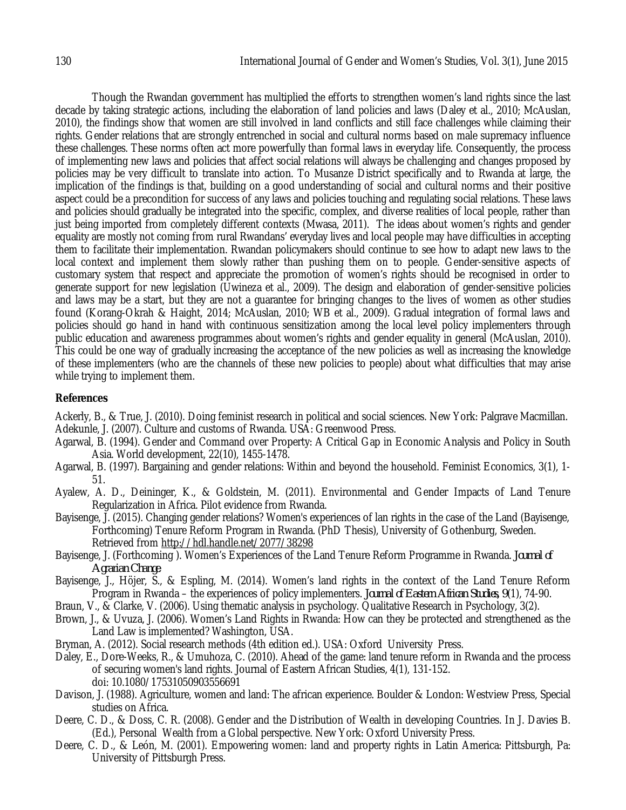Though the Rwandan government has multiplied the efforts to strengthen women's land rights since the last decade by taking strategic actions, including the elaboration of land policies and laws (Daley et al., 2010; McAuslan, 2010), the findings show that women are still involved in land conflicts and still face challenges while claiming their rights. Gender relations that are strongly entrenched in social and cultural norms based on male supremacy influence these challenges. These norms often act more powerfully than formal laws in everyday life. Consequently, the process of implementing new laws and policies that affect social relations will always be challenging and changes proposed by policies may be very difficult to translate into action. To Musanze District specifically and to Rwanda at large, the implication of the findings is that, building on a good understanding of social and cultural norms and their positive aspect could be a precondition for success of any laws and policies touching and regulating social relations. These laws and policies should gradually be integrated into the specific, complex, and diverse realities of local people, rather than just being imported from completely different contexts (Mwasa, 2011). The ideas about women's rights and gender equality are mostly not coming from rural Rwandans' everyday lives and local people may have difficulties in accepting them to facilitate their implementation. Rwandan policymakers should continue to see how to adapt new laws to the local context and implement them slowly rather than pushing them on to people. Gender-sensitive aspects of customary system that respect and appreciate the promotion of women's rights should be recognised in order to generate support for new legislation (Uwineza et al., 2009). The design and elaboration of gender-sensitive policies and laws may be a start, but they are not a guarantee for bringing changes to the lives of women as other studies found (Korang-Okrah & Haight, 2014; McAuslan, 2010; WB et al., 2009). Gradual integration of formal laws and policies should go hand in hand with continuous sensitization among the local level policy implementers through public education and awareness programmes about women's rights and gender equality in general (McAuslan, 2010). This could be one way of gradually increasing the acceptance of the new policies as well as increasing the knowledge of these implementers (who are the channels of these new policies to people) about what difficulties that may arise while trying to implement them.

# **References**

Ackerly, B., & True, J. (2010). Doing feminist research in political and social sciences. New York: Palgrave Macmillan. Adekunle, J. (2007). Culture and customs of Rwanda. USA: Greenwood Press.

- Agarwal, B. (1994). Gender and Command over Property: A Critical Gap in Economic Analysis and Policy in South Asia. World development, 22(10), 1455-1478.
- Agarwal, B. (1997). Bargaining and gender relations: Within and beyond the household. Feminist Economics, 3(1), 1- 51.
- Ayalew, A. D., Deininger, K., & Goldstein, M. (2011). Environmental and Gender Impacts of Land Tenure Regularization in Africa. Pilot evidence from Rwanda.
- Bayisenge, J. (2015). Changing gender relations? Women's experiences of lan rights in the case of the Land (Bayisenge, Forthcoming) Tenure Reform Program in Rwanda. (PhD Thesis), University of Gothenburg, Sweden. Retrieved from http://hdl.handle.net/2077/38298
- Bayisenge, J. (Forthcoming ). Women's Experiences of the Land Tenure Reform Programme in Rwanda. *Journal of Agrarian Change*.
- Bayisenge, J., Höjer, S., & Espling, M. (2014). Women's land rights in the context of the Land Tenure Reform Program in Rwanda – the experiences of policy implementers. *Journal of Eastern African Studies, 9*(1), 74-90.
- Braun, V., & Clarke, V. (2006). Using thematic analysis in psychology. Qualitative Research in Psychology, 3(2).
- Brown, J., & Uvuza, J. (2006). Women's Land Rights in Rwanda: How can they be protected and strengthened as the Land Law is implemented? Washington, USA.
- Bryman, A. (2012). Social research methods (4th edition ed.). USA: Oxford University Press.
- Daley, E., Dore-Weeks, R., & Umuhoza, C. (2010). Ahead of the game: land tenure reform in Rwanda and the process of securing women's land rights. Journal of Eastern African Studies, 4(1), 131-152. doi: 10.1080/17531050903556691
- Davison, J. (1988). Agriculture, women and land: The african experience. Boulder & London: Westview Press, Special studies on Africa.
- Deere, C. D., & Doss, C. R. (2008). Gender and the Distribution of Wealth in developing Countries. In J. Davies B. (Ed.), Personal Wealth from a Global perspective. New York: Oxford University Press.
- Deere, C. D., & León, M. (2001). Empowering women: land and property rights in Latin America: Pittsburgh, Pa: University of Pittsburgh Press.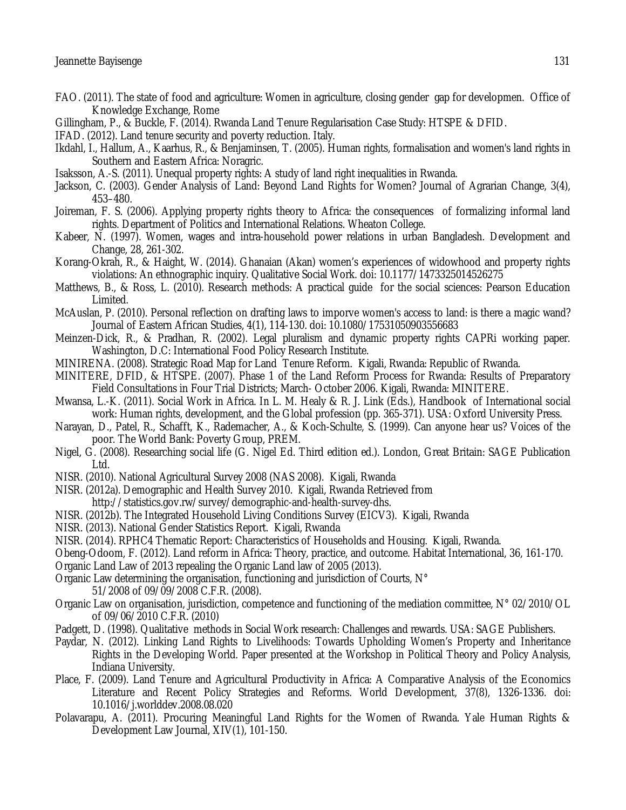- FAO. (2011). The state of food and agriculture: Women in agriculture, closing gender gap for developmen. Office of Knowledge Exchange, Rome
- Gillingham, P., & Buckle, F. (2014). Rwanda Land Tenure Regularisation Case Study: HTSPE & DFID.
- IFAD. (2012). Land tenure security and poverty reduction. Italy.
- Ikdahl, I., Hallum, A., Kaarhus, R., & Benjaminsen, T. (2005). Human rights, formalisation and women's land rights in Southern and Eastern Africa: Noragric.
- Isaksson, A.-S. (2011). Unequal property rights: A study of land right inequalities in Rwanda.
- Jackson, C. (2003). Gender Analysis of Land: Beyond Land Rights for Women? Journal of Agrarian Change, 3(4), 453–480.
- Joireman, F. S. (2006). Applying property rights theory to Africa: the consequences of formalizing informal land rights. Department of Politics and International Relations. Wheaton College.
- Kabeer, N. (1997). Women, wages and intra-household power relations in urban Bangladesh. Development and Change, 28, 261-302.
- Korang-Okrah, R., & Haight, W. (2014). Ghanaian (Akan) women's experiences of widowhood and property rights violations: An ethnographic inquiry. Qualitative Social Work. doi: 10.1177/1473325014526275
- Matthews, B., & Ross, L. (2010). Research methods: A practical guide for the social sciences: Pearson Education Limited.
- McAuslan, P. (2010). Personal reflection on drafting laws to imporve women's access to land: is there a magic wand? Journal of Eastern African Studies, 4(1), 114-130. doi: 10.1080/17531050903556683
- Meinzen-Dick, R., & Pradhan, R. (2002). Legal pluralism and dynamic property rights CAPRi working paper. Washington, D.C: International Food Policy Research Institute.
- MINIRENA. (2008). Strategic Road Map for Land Tenure Reform. Kigali, Rwanda: Republic of Rwanda.
- MINITERE, DFID, & HTSPE. (2007). Phase 1 of the Land Reform Process for Rwanda: Results of Preparatory Field Consultations in Four Trial Districts; March- October 2006. Kigali, Rwanda: MINITERE.
- Mwansa, L.-K. (2011). Social Work in Africa. In L. M. Healy & R. J. Link (Eds.), Handbook of International social work: Human rights, development, and the Global profession (pp. 365-371). USA: Oxford University Press.
- Narayan, D., Patel, R., Schafft, K., Rademacher, A., & Koch-Schulte, S. (1999). Can anyone hear us? Voices of the poor. The World Bank: Poverty Group, PREM.
- Nigel, G. (2008). Researching social life (G. Nigel Ed. Third edition ed.). London, Great Britain: SAGE Publication Ltd.
- NISR. (2010). National Agricultural Survey 2008 (NAS 2008). Kigali, Rwanda
- NISR. (2012a). Demographic and Health Survey 2010. Kigali, Rwanda Retrieved from http://statistics.gov.rw/survey/demographic-and-health-survey-dhs.
- NISR. (2012b). The Integrated Household Living Conditions Survey (EICV3). Kigali, Rwanda
- NISR. (2013). National Gender Statistics Report. Kigali, Rwanda
- NISR. (2014). RPHC4 Thematic Report: Characteristics of Households and Housing. Kigali, Rwanda.
- Obeng-Odoom, F. (2012). Land reform in Africa: Theory, practice, and outcome. Habitat International, 36, 161-170.
- Organic Land Law of 2013 repealing the Organic Land law of 2005 (2013).
- Organic Law determining the organisation, functioning and jurisdiction of Courts, N°

51/2008 of 09/09/2008 C.F.R. (2008).

- Organic Law on organisation, jurisdiction, competence and functioning of the mediation committee, N° 02/2010/OL of 09/06/2010 C.F.R. (2010)
- Padgett, D. (1998). Qualitative methods in Social Work research: Challenges and rewards. USA: SAGE Publishers.
- Paydar, N. (2012). Linking Land Rights to Livelihoods: Towards Upholding Women's Property and Inheritance Rights in the Developing World. Paper presented at the Workshop in Political Theory and Policy Analysis, Indiana University.
- Place, F. (2009). Land Tenure and Agricultural Productivity in Africa: A Comparative Analysis of the Economics Literature and Recent Policy Strategies and Reforms. World Development, 37(8), 1326-1336. doi: 10.1016/j.worlddev.2008.08.020
- Polavarapu, A. (2011). Procuring Meaningful Land Rights for the Women of Rwanda. Yale Human Rights & Development Law Journal, XIV(1), 101-150.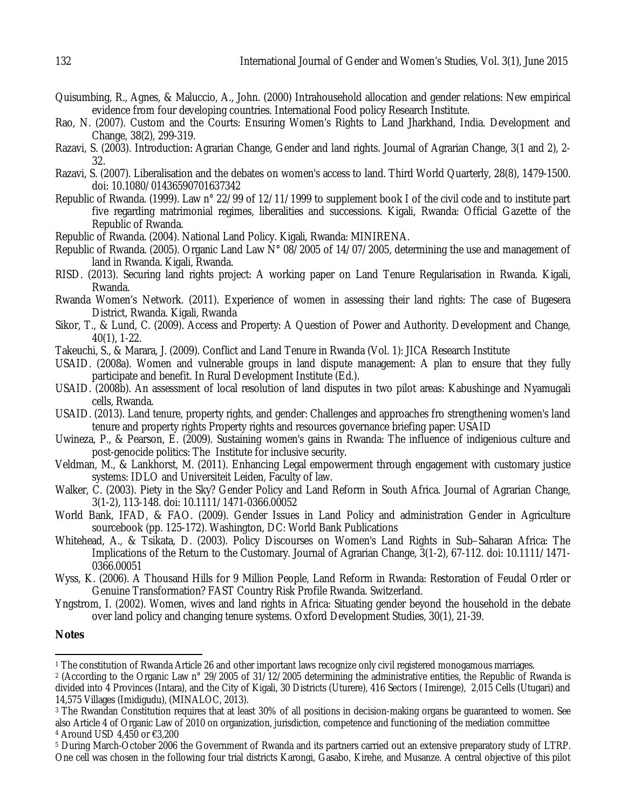- Quisumbing, R., Agnes, & Maluccio, A., John. (2000) Intrahousehold allocation and gender relations: New empirical evidence from four developing countries. International Food policy Research Institute.
- Rao, N. (2007). Custom and the Courts: Ensuring Women's Rights to Land Jharkhand, India. Development and Change, 38(2), 299-319.
- Razavi, S. (2003). Introduction: Agrarian Change, Gender and land rights. Journal of Agrarian Change, 3(1 and 2), 2- 32.
- Razavi, S. (2007). Liberalisation and the debates on women's access to land. Third World Quarterly, 28(8), 1479-1500. doi: 10.1080/01436590701637342
- Republic of Rwanda. (1999). Law n° 22/99 of 12/11/1999 to supplement book I of the civil code and to institute part five regarding matrimonial regimes, liberalities and successions. Kigali, Rwanda: Official Gazette of the Republic of Rwanda.
- Republic of Rwanda. (2004). National Land Policy. Kigali, Rwanda: MINIRENA.
- Republic of Rwanda. (2005). Organic Land Law N° 08/2005 of 14/07/2005, determining the use and management of land in Rwanda. Kigali, Rwanda.
- RISD. (2013). Securing land rights project: A working paper on Land Tenure Regularisation in Rwanda. Kigali, Rwanda.
- Rwanda Women's Network. (2011). Experience of women in assessing their land rights: The case of Bugesera District, Rwanda. Kigali, Rwanda
- Sikor, T., & Lund, C. (2009). Access and Property: A Question of Power and Authority. Development and Change, 40(1), 1-22.
- Takeuchi, S., & Marara, J. (2009). Conflict and Land Tenure in Rwanda (Vol. 1): JICA Research Institute
- USAID. (2008a). Women and vulnerable groups in land dispute management: A plan to ensure that they fully participate and benefit. In Rural Development Institute (Ed.).
- USAID. (2008b). An assessment of local resolution of land disputes in two pilot areas: Kabushinge and Nyamugali cells, Rwanda.
- USAID. (2013). Land tenure, property rights, and gender: Challenges and approaches fro strengthening women's land tenure and property rights Property rights and resources governance briefing paper: USAID
- Uwineza, P., & Pearson, E. (2009). Sustaining women's gains in Rwanda: The influence of indigenious culture and post-genocide politics: The Institute for inclusive security.
- Veldman, M., & Lankhorst, M. (2011). Enhancing Legal empowerment through engagement with customary justice systems: IDLO and Universiteit Leiden, Faculty of law.
- Walker, C. (2003). Piety in the Sky? Gender Policy and Land Reform in South Africa. Journal of Agrarian Change, 3(1-2), 113-148. doi: 10.1111/1471-0366.00052
- World Bank, IFAD, & FAO. (2009). Gender Issues in Land Policy and administration Gender in Agriculture sourcebook (pp. 125-172). Washington, DC: World Bank Publications
- Whitehead, A., & Tsikata, D. (2003). Policy Discourses on Women's Land Rights in Sub–Saharan Africa: The Implications of the Return to the Customary. Journal of Agrarian Change, 3(1-2), 67-112. doi: 10.1111/1471- 0366.00051
- Wyss, K. (2006). A Thousand Hills for 9 Million People, Land Reform in Rwanda: Restoration of Feudal Order or Genuine Transformation? FAST Country Risk Profile Rwanda. Switzerland.
- Yngstrom, I. (2002). Women, wives and land rights in Africa: Situating gender beyond the household in the debate over land policy and changing tenure systems. Oxford Development Studies, 30(1), 21-39.

### **Notes**

 $\overline{\phantom{a}}$ 

- <sup>3</sup> The Rwandan Constitution requires that at least 30% of all positions in decision-making organs be quaranteed to women. See also Article 4 of Organic Law of 2010 on organization, jurisdiction, competence and functioning of the mediation committee
- <sup>4</sup> Around USD 4,450 or €3,200
- <sup>5</sup> During March-October 2006 the Government of Rwanda and its partners carried out an extensive preparatory study of LTRP. One cell was chosen in the following four trial districts Karongi, Gasabo, Kirehe, and Musanze. A central objective of this pilot

<sup>1</sup> The constitution of Rwanda Article 26 and other important laws recognize only civil registered monogamous marriages.

<sup>2</sup> (According to the Organic Law n° 29/2005 of 31/12/2005 determining the administrative entities, the Republic of Rwanda is divided into 4 Provinces (Intara), and the City of Kigali, 30 Districts (Uturere), 416 Sectors ( Imirenge), 2,015 Cells (Utugari) and 14,575 Villages (Imidigudu), (MINALOC, 2013).